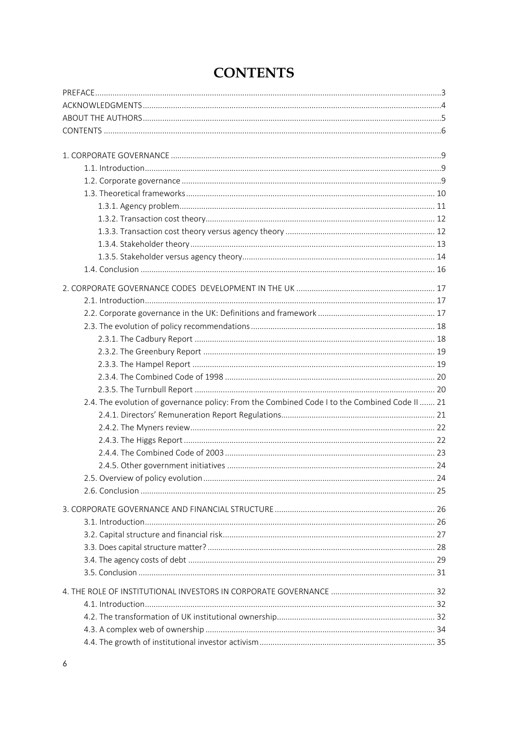<span id="page-0-0"></span>

| 2.4. The evolution of governance policy: From the Combined Code I to the Combined Code II  21 |    |
|-----------------------------------------------------------------------------------------------|----|
|                                                                                               |    |
|                                                                                               |    |
|                                                                                               |    |
|                                                                                               |    |
|                                                                                               |    |
|                                                                                               |    |
|                                                                                               |    |
|                                                                                               |    |
|                                                                                               |    |
|                                                                                               |    |
| 3.2. Capital structure and financial risk                                                     | 27 |
|                                                                                               |    |
|                                                                                               |    |
|                                                                                               |    |
|                                                                                               |    |
|                                                                                               |    |
|                                                                                               |    |
|                                                                                               |    |
|                                                                                               |    |
|                                                                                               |    |

## **CONTENTS**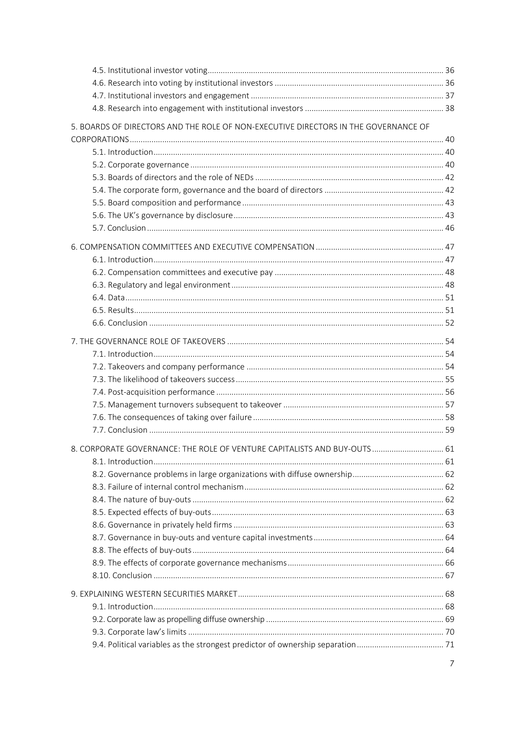| 5. BOARDS OF DIRECTORS AND THE ROLE OF NON-EXECUTIVE DIRECTORS IN THE GOVERNANCE OF |  |
|-------------------------------------------------------------------------------------|--|
|                                                                                     |  |
|                                                                                     |  |
|                                                                                     |  |
|                                                                                     |  |
|                                                                                     |  |
|                                                                                     |  |
|                                                                                     |  |
|                                                                                     |  |
|                                                                                     |  |
|                                                                                     |  |
|                                                                                     |  |
|                                                                                     |  |
|                                                                                     |  |
|                                                                                     |  |
|                                                                                     |  |
|                                                                                     |  |
|                                                                                     |  |
|                                                                                     |  |
|                                                                                     |  |
|                                                                                     |  |
|                                                                                     |  |
|                                                                                     |  |
|                                                                                     |  |
| 8. CORPORATE GOVERNANCE: THE ROLE OF VENTURE CAPITALISTS AND BUY-OUTS 61            |  |
|                                                                                     |  |
|                                                                                     |  |
|                                                                                     |  |
|                                                                                     |  |
|                                                                                     |  |
|                                                                                     |  |
|                                                                                     |  |
|                                                                                     |  |
|                                                                                     |  |
|                                                                                     |  |
|                                                                                     |  |
|                                                                                     |  |
|                                                                                     |  |
|                                                                                     |  |
|                                                                                     |  |